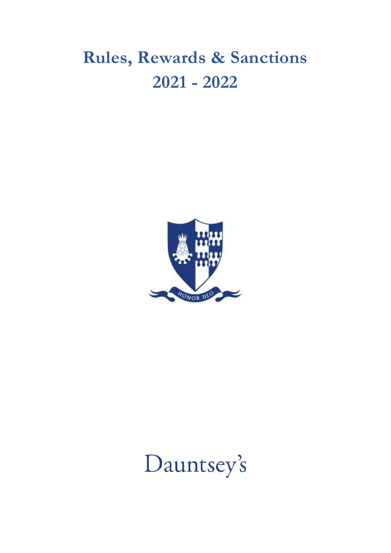## **Rules, Rewards & Sanctions 2021 - 2022**



# Dauntsey's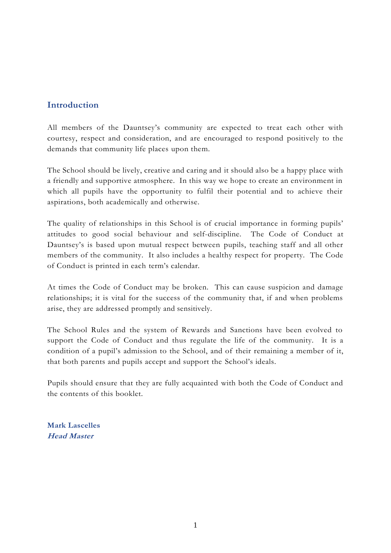## **Introduction**

All members of the Dauntsey's community are expected to treat each other with courtesy, respect and consideration, and are encouraged to respond positively to the demands that community life places upon them.

The School should be lively, creative and caring and it should also be a happy place with a friendly and supportive atmosphere. In this way we hope to create an environment in which all pupils have the opportunity to fulfil their potential and to achieve their aspirations, both academically and otherwise.

The quality of relationships in this School is of crucial importance in forming pupils' attitudes to good social behaviour and self-discipline. The Code of Conduct at Dauntsey's is based upon mutual respect between pupils, teaching staff and all other members of the community. It also includes a healthy respect for property. The Code of Conduct is printed in each term's calendar.

At times the Code of Conduct may be broken. This can cause suspicion and damage relationships; it is vital for the success of the community that, if and when problems arise, they are addressed promptly and sensitively.

The School Rules and the system of Rewards and Sanctions have been evolved to support the Code of Conduct and thus regulate the life of the community. It is a condition of a pupil's admission to the School, and of their remaining a member of it, that both parents and pupils accept and support the School's ideals.

Pupils should ensure that they are fully acquainted with both the Code of Conduct and the contents of this booklet.

**Mark Lascelles Head Master**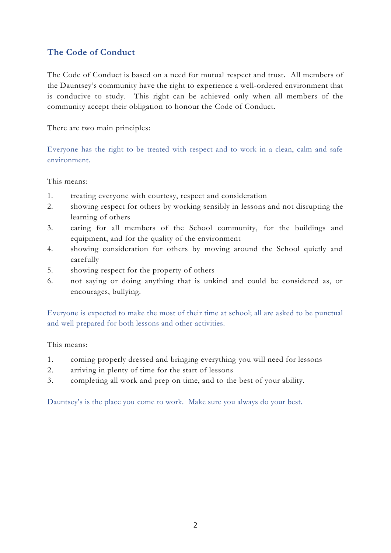## **The Code of Conduct**

The Code of Conduct is based on a need for mutual respect and trust. All members of the Dauntsey's community have the right to experience a well-ordered environment that is conducive to study. This right can be achieved only when all members of the community accept their obligation to honour the Code of Conduct.

There are two main principles:

Everyone has the right to be treated with respect and to work in a clean, calm and safe environment.

This means:

- 1. treating everyone with courtesy, respect and consideration
- 2. showing respect for others by working sensibly in lessons and not disrupting the learning of others
- 3. caring for all members of the School community, for the buildings and equipment, and for the quality of the environment
- 4. showing consideration for others by moving around the School quietly and carefully
- 5. showing respect for the property of others
- 6. not saying or doing anything that is unkind and could be considered as, or encourages, bullying.

Everyone is expected to make the most of their time at school; all are asked to be punctual and well prepared for both lessons and other activities.

This means:

- 1. coming properly dressed and bringing everything you will need for lessons
- 2. arriving in plenty of time for the start of lessons
- 3. completing all work and prep on time, and to the best of your ability.

Dauntsey's is the place you come to work. Make sure you always do your best.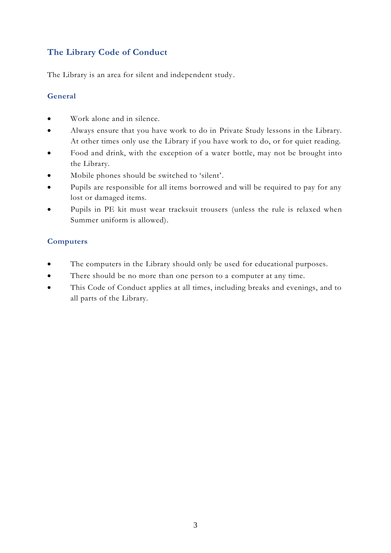## **The Library Code of Conduct**

The Library is an area for silent and independent study.

#### **General**

- Work alone and in silence.
- Always ensure that you have work to do in Private Study lessons in the Library. At other times only use the Library if you have work to do, or for quiet reading.
- Food and drink, with the exception of a water bottle, may not be brought into the Library.
- Mobile phones should be switched to 'silent'.
- Pupils are responsible for all items borrowed and will be required to pay for any lost or damaged items.
- Pupils in PE kit must wear tracksuit trousers (unless the rule is relaxed when Summer uniform is allowed).

## **Computers**

- The computers in the Library should only be used for educational purposes.
- There should be no more than one person to a computer at any time.
- This Code of Conduct applies at all times, including breaks and evenings, and to all parts of the Library.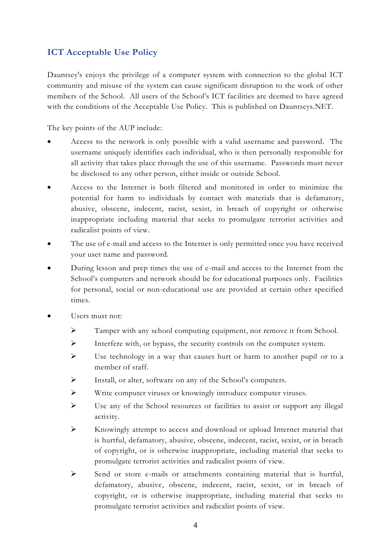## **ICT Acceptable Use Policy**

Dauntsey's enjoys the privilege of a computer system with connection to the global ICT community and misuse of the system can cause significant disruption to the work of other members of the School. All users of the School's ICT facilities are deemed to have agreed with the conditions of the Acceptable Use Policy. This is published on Dauntseys.NET.

The key points of the AUP include:

- Access to the network is only possible with a valid username and password. The username uniquely identifies each individual, who is then personally responsible for all activity that takes place through the use of this username. Passwords must never be disclosed to any other person, either inside or outside School.
- Access to the Internet is both filtered and monitored in order to minimize the potential for harm to individuals by contact with materials that is defamatory, abusive, obscene, indecent, racist, sexist, in breach of copyright or otherwise inappropriate including material that seeks to promulgate terrorist activities and radicalist points of view.
- The use of e-mail and access to the Internet is only permitted once you have received your user name and password.
- During lesson and prep times the use of e-mail and access to the Internet from the School's computers and network should be for educational purposes only. Facilities for personal, social or non-educational use are provided at certain other specified times.
- Users must not:
	- ➢ Tamper with any school computing equipment, nor remove it from School.
	- ➢ Interfere with, or bypass, the security controls on the computer system.
	- ➢ Use technology in a way that causes hurt or harm to another pupil or to a member of staff.
	- ➢ Install, or alter, software on any of the School's computers.
	- ➢ Write computer viruses or knowingly introduce computer viruses.
	- ➢ Use any of the School resources or facilities to assist or support any illegal activity.
	- ➢ Knowingly attempt to access and download or upload Internet material that is hurtful, defamatory, abusive, obscene, indecent, racist, sexist, or in breach of copyright, or is otherwise inappropriate, including material that seeks to promulgate terrorist activities and radicalist points of view.
	- ➢ Send or store e-mails or attachments containing material that is hurtful, defamatory, abusive, obscene, indecent, racist, sexist, or in breach of copyright, or is otherwise inappropriate, including material that seeks to promulgate terrorist activities and radicalist points of view.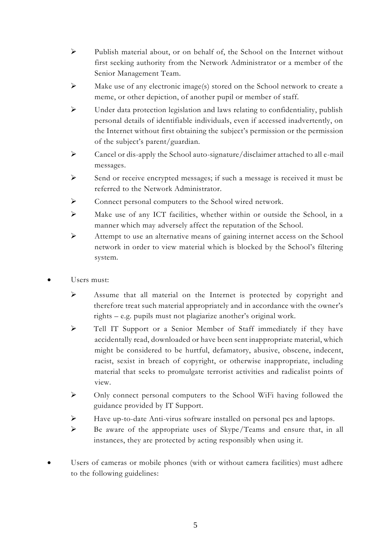- ➢ Publish material about, or on behalf of, the School on the Internet without first seeking authority from the Network Administrator or a member of the Senior Management Team.
- $\triangleright$  Make use of any electronic image(s) stored on the School network to create a meme, or other depiction, of another pupil or member of staff.
- ➢ Under data protection legislation and laws relating to confidentiality, publish personal details of identifiable individuals, even if accessed inadvertently, on the Internet without first obtaining the subject's permission or the permission of the subject's parent/guardian.
- $\triangleright$  Cancel or dis-apply the School auto-signature/disclaimer attached to all e-mail messages.
- ➢ Send or receive encrypted messages; if such a message is received it must be referred to the Network Administrator.
- ➢ Connect personal computers to the School wired network.
- ➢ Make use of any ICT facilities, whether within or outside the School, in a manner which may adversely affect the reputation of the School.
- ➢ Attempt to use an alternative means of gaining internet access on the School network in order to view material which is blocked by the School's filtering system.
- Users must:
	- ➢ Assume that all material on the Internet is protected by copyright and therefore treat such material appropriately and in accordance with the owner's rights – e.g. pupils must not plagiarize another's original work.
	- ➢ Tell IT Support or a Senior Member of Staff immediately if they have accidentally read, downloaded or have been sent inappropriate material, which might be considered to be hurtful, defamatory, abusive, obscene, indecent, racist, sexist in breach of copyright, or otherwise inappropriate, including material that seeks to promulgate terrorist activities and radicalist points of view.
	- ➢ Only connect personal computers to the School WiFi having followed the guidance provided by IT Support.
	- ➢ Have up-to-date Anti-virus software installed on personal pcs and laptops.
	- ➢ Be aware of the appropriate uses of Skype/Teams and ensure that, in all instances, they are protected by acting responsibly when using it.
- Users of cameras or mobile phones (with or without camera facilities) must adhere to the following guidelines: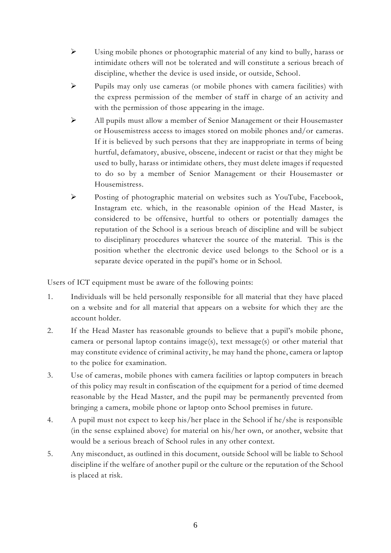- ➢ Using mobile phones or photographic material of any kind to bully, harass or intimidate others will not be tolerated and will constitute a serious breach of discipline, whether the device is used inside, or outside, School.
- $\triangleright$  Pupils may only use cameras (or mobile phones with camera facilities) with the express permission of the member of staff in charge of an activity and with the permission of those appearing in the image.
- ➢ All pupils must allow a member of Senior Management or their Housemaster or Housemistress access to images stored on mobile phones and/or cameras. If it is believed by such persons that they are inappropriate in terms of being hurtful, defamatory, abusive, obscene, indecent or racist or that they might be used to bully, harass or intimidate others, they must delete images if requested to do so by a member of Senior Management or their Housemaster or Housemistress.
- ➢ Posting of photographic material on websites such as YouTube, Facebook, Instagram etc. which, in the reasonable opinion of the Head Master, is considered to be offensive, hurtful to others or potentially damages the reputation of the School is a serious breach of discipline and will be subject to disciplinary procedures whatever the source of the material. This is the position whether the electronic device used belongs to the School or is a separate device operated in the pupil's home or in School.

Users of ICT equipment must be aware of the following points:

- 1. Individuals will be held personally responsible for all material that they have placed on a website and for all material that appears on a website for which they are the account holder.
- 2. If the Head Master has reasonable grounds to believe that a pupil's mobile phone, camera or personal laptop contains image(s), text message(s) or other material that may constitute evidence of criminal activity, he may hand the phone, camera or laptop to the police for examination.
- 3. Use of cameras, mobile phones with camera facilities or laptop computers in breach of this policy may result in confiscation of the equipment for a period of time deemed reasonable by the Head Master, and the pupil may be permanently prevented from bringing a camera, mobile phone or laptop onto School premises in future.
- 4. A pupil must not expect to keep his/her place in the School if he/she is responsible (in the sense explained above) for material on his/her own, or another, website that would be a serious breach of School rules in any other context.
- 5. Any misconduct, as outlined in this document, outside School will be liable to School discipline if the welfare of another pupil or the culture or the reputation of the School is placed at risk.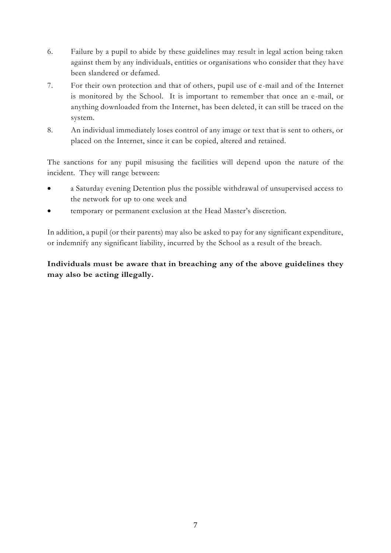- 6. Failure by a pupil to abide by these guidelines may result in legal action being taken against them by any individuals, entities or organisations who consider that they have been slandered or defamed.
- 7. For their own protection and that of others, pupil use of e-mail and of the Internet is monitored by the School. It is important to remember that once an e -mail, or anything downloaded from the Internet, has been deleted, it can still be traced on the system.
- 8. An individual immediately loses control of any image or text that is sent to others, or placed on the Internet, since it can be copied, altered and retained.

The sanctions for any pupil misusing the facilities will depend upon the nature of the incident. They will range between:

- a Saturday evening Detention plus the possible withdrawal of unsupervised access to the network for up to one week and
- temporary or permanent exclusion at the Head Master's discretion.

In addition, a pupil (or their parents) may also be asked to pay for any significant expenditure, or indemnify any significant liability, incurred by the School as a result of the breach.

## **Individuals must be aware that in breaching any of the above guidelines they may also be acting illegally.**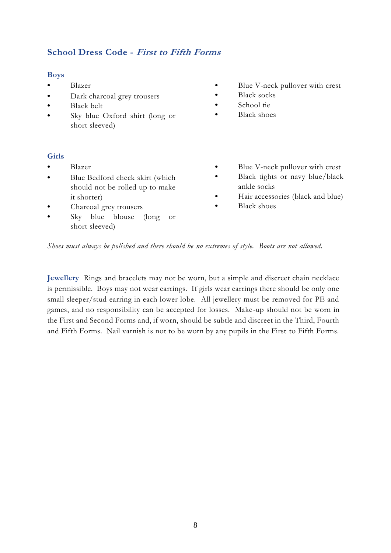## **School Dress Code - First to Fifth Forms**

#### **Boys**

- **•** Blazer
- **•** Dark charcoal grey trousers
- **•** Black belt
- **•** Sky blue Oxford shirt (long or short sleeved)
- **•** Blue V-neck pullover with crest
- **•** Black socks
- **•** School tie
- **•** Black shoes

#### **Girls**

- **•** Blazer
- **•** Blue Bedford check skirt (which should not be rolled up to make it shorter)
- **•** Charcoal grey trousers
- **•** Sky blue blouse (long or short sleeved)
- Blue V-neck pullover with crest
- Black tights or navy blue/black ankle socks
- **•** Hair accessories (black and blue)
- **•** Black shoes

*Shoes must always be polished and there should be no extremes of style. Boots are not allowed.*

**Jewellery** Rings and bracelets may not be worn, but a simple and discreet chain necklace is permissible. Boys may not wear earrings. If girls wear earrings there should be only one small sleeper/stud earring in each lower lobe. All jewellery must be removed for PE and games, and no responsibility can be accepted for losses. Make-up should not be worn in the First and Second Forms and, if worn, should be subtle and discreet in the Third, Fourth and Fifth Forms. Nail varnish is not to be worn by any pupils in the First to Fifth Forms.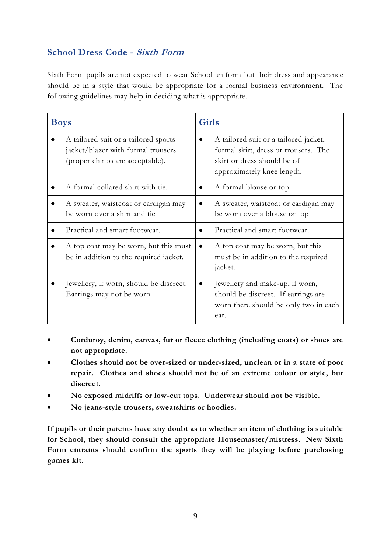## **School Dress Code - Sixth Form**

Sixth Form pupils are not expected to wear School uniform but their dress and appearance should be in a style that would be appropriate for a formal business environment. The following guidelines may help in deciding what is appropriate.

| <b>Boys</b> |                                                                                                               | Girls |                                                                                                                                            |  |
|-------------|---------------------------------------------------------------------------------------------------------------|-------|--------------------------------------------------------------------------------------------------------------------------------------------|--|
|             | A tailored suit or a tailored sports<br>jacket/blazer with formal trousers<br>(proper chinos are acceptable). |       | A tailored suit or a tailored jacket,<br>formal skirt, dress or trousers. The<br>skirt or dress should be of<br>approximately knee length. |  |
|             | A formal collared shirt with tie.                                                                             |       | A formal blouse or top.                                                                                                                    |  |
|             | A sweater, waistcoat or cardigan may<br>be worn over a shirt and tie                                          |       | A sweater, waistcoat or cardigan may<br>be worn over a blouse or top                                                                       |  |
|             | Practical and smart footwear.                                                                                 |       | Practical and smart footwear.                                                                                                              |  |
|             | A top coat may be worn, but this must<br>be in addition to the required jacket.                               |       | A top coat may be worn, but this<br>must be in addition to the required<br>jacket.                                                         |  |
|             | Jewellery, if worn, should be discreet.<br>Earrings may not be worn.                                          |       | Jewellery and make-up, if worn,<br>should be discreet. If earlings are<br>worn there should be only two in each<br>ear.                    |  |

- **Corduroy, denim, canvas, fur or fleece clothing (including coats) or shoes are not appropriate.**
- **Clothes should not be over-sized or under-sized, unclean or in a state of poor repair. Clothes and shoes should not be of an extreme colour or style, but discreet.**
- **No exposed midriffs or low-cut tops. Underwear should not be visible.**
- **No jeans-style trousers, sweatshirts or hoodies.**

**If pupils or their parents have any doubt as to whether an item of clothing is suitable for School, they should consult the appropriate Housemaster/mistress. New Sixth Form entrants should confirm the sports they will be playing before purchasing games kit.**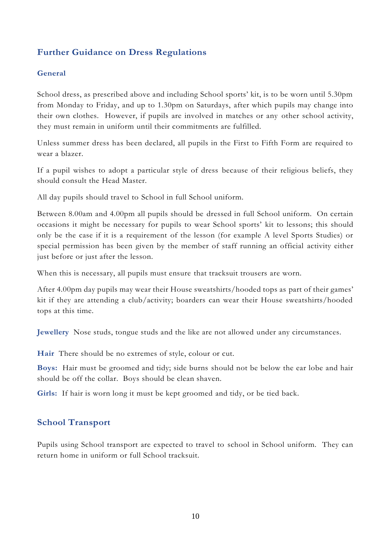## **Further Guidance on Dress Regulations**

#### **General**

School dress, as prescribed above and including School sports' kit, is to be worn until 5.30pm from Monday to Friday, and up to 1.30pm on Saturdays, after which pupils may change into their own clothes. However, if pupils are involved in matches or any other school activity, they must remain in uniform until their commitments are fulfilled.

Unless summer dress has been declared, all pupils in the First to Fifth Form are required to wear a blazer.

If a pupil wishes to adopt a particular style of dress because of their religious beliefs, they should consult the Head Master.

All day pupils should travel to School in full School uniform.

Between 8.00am and 4.00pm all pupils should be dressed in full School uniform. On certain occasions it might be necessary for pupils to wear School sports' kit to lessons; this should only be the case if it is a requirement of the lesson (for example A level Sports Studies) or special permission has been given by the member of staff running an official activity either just before or just after the lesson.

When this is necessary, all pupils must ensure that tracksuit trousers are worn.

After 4.00pm day pupils may wear their House sweatshirts/hooded tops as part of their games' kit if they are attending a club/activity; boarders can wear their House sweatshirts/hooded tops at this time.

**Jewellery** Nose studs, tongue studs and the like are not allowed under any circumstances.

**Hair** There should be no extremes of style, colour or cut.

**Boys:** Hair must be groomed and tidy; side burns should not be below the ear lobe and hair should be off the collar. Boys should be clean shaven.

Girls: If hair is worn long it must be kept groomed and tidy, or be tied back.

#### **School Transport**

Pupils using School transport are expected to travel to school in School uniform. They can return home in uniform or full School tracksuit.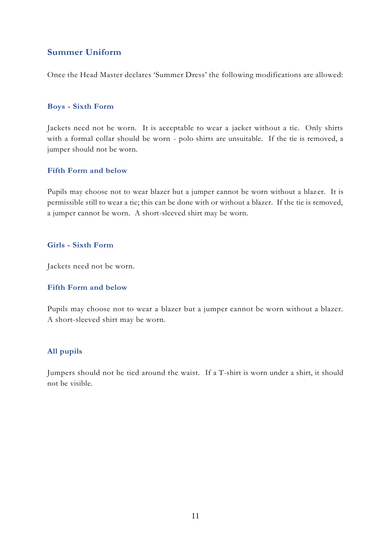## **Summer Uniform**

Once the Head Master declares 'Summer Dress' the following modifications are allowed:

#### **Boys - Sixth Form**

Jackets need not be worn. It is acceptable to wear a jacket without a tie. Only shirts with a formal collar should be worn - polo shirts are unsuitable. If the tie is removed, a jumper should not be worn.

#### **Fifth Form and below**

Pupils may choose not to wear blazer but a jumper cannot be worn without a blaz er. It is permissible still to wear a tie; this can be done with or without a blazer. If the tie is removed, a jumper cannot be worn. A short-sleeved shirt may be worn.

#### **Girls - Sixth Form**

Jackets need not be worn.

#### **Fifth Form and below**

Pupils may choose not to wear a blazer but a jumper cannot be worn without a blazer. A short-sleeved shirt may be worn.

#### **All pupils**

Jumpers should not be tied around the waist. If a T-shirt is worn under a shirt, it should not be visible.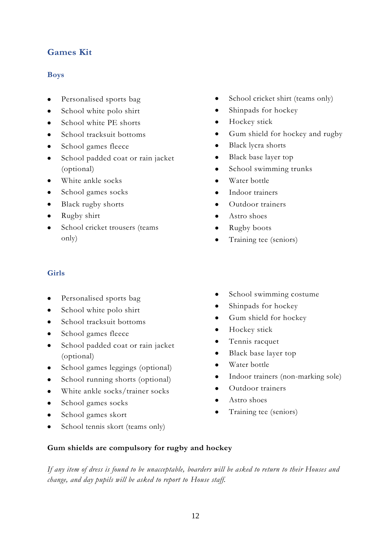## **Games Kit**

#### **Boys**

- Personalised sports bag
- School white polo shirt
- School white PE shorts
- School tracksuit bottoms
- School games fleece
- School padded coat or rain jacket (optional)
- White ankle socks
- School games socks
- Black rugby shorts
- Rugby shirt
- School cricket trousers (teams only)

#### **Girls**

- Personalised sports bag
- School white polo shirt
- School tracksuit bottoms
- School games fleece
- School padded coat or rain jacket (optional)
- School games leggings (optional)
- School running shorts (optional)
- White ankle socks/trainer socks
- School games socks
- School games skort
- School tennis skort (teams only)
- School cricket shirt (teams only)
- Shinpads for hockey
- Hockey stick
- Gum shield for hockey and rugby
- Black lycra shorts
- Black base layer top
- School swimming trunks
- Water bottle
- Indoor trainers
- Outdoor trainers
- Astro shoes
- Rugby boots
- Training tee (seniors)
- School swimming costume
- Shinpads for hockey
- Gum shield for hockey
- Hockey stick
- Tennis racquet
- Black base layer top
- Water bottle
- Indoor trainers (non-marking sole)
- Outdoor trainers
- Astro shoes
- Training tee (seniors)
- 

#### **Gum shields are compulsory for rugby and hockey**

*If any item of dress is found to be unacceptable, boarders will be asked to return to their Houses and change, and day pupils will be asked to report to House staff.*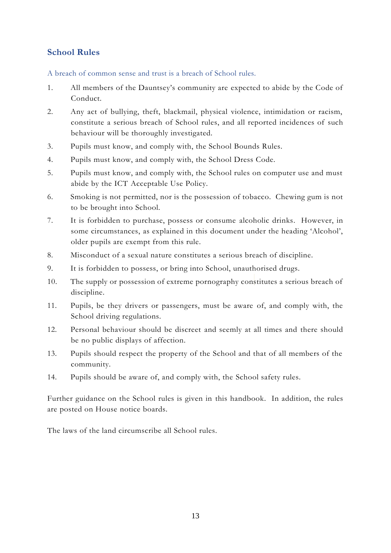## **School Rules**

A breach of common sense and trust is a breach of School rules.

- 1. All members of the Dauntsey's community are expected to abide by the Code of Conduct.
- 2. Any act of bullying, theft, blackmail, physical violence, intimidation or racism, constitute a serious breach of School rules, and all reported incidences of such behaviour will be thoroughly investigated.
- 3. Pupils must know, and comply with, the School Bounds Rules.
- 4. Pupils must know, and comply with, the School Dress Code.
- 5. Pupils must know, and comply with, the School rules on computer use and must abide by the ICT Acceptable Use Policy.
- 6. Smoking is not permitted, nor is the possession of tobacco. Chewing gum is not to be brought into School.
- 7. It is forbidden to purchase, possess or consume alcoholic drinks. However, in some circumstances, as explained in this document under the heading 'Alcohol', older pupils are exempt from this rule.
- 8. Misconduct of a sexual nature constitutes a serious breach of discipline.
- 9. It is forbidden to possess, or bring into School, unauthorised drugs.
- 10. The supply or possession of extreme pornography constitutes a serious breach of discipline.
- 11. Pupils, be they drivers or passengers, must be aware of, and comply with, the School driving regulations.
- 12. Personal behaviour should be discreet and seemly at all times and there should be no public displays of affection.
- 13. Pupils should respect the property of the School and that of all members of the community.
- 14. Pupils should be aware of, and comply with, the School safety rules.

Further guidance on the School rules is given in this handbook. In addition, the rules are posted on House notice boards.

The laws of the land circumscribe all School rules.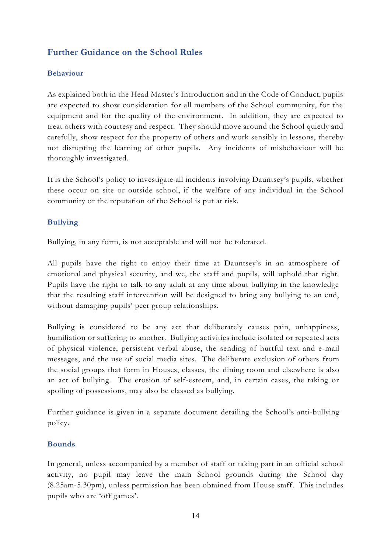## **Further Guidance on the School Rules**

#### **Behaviour**

As explained both in the Head Master's Introduction and in the Code of Conduct, pupils are expected to show consideration for all members of the School community, for the equipment and for the quality of the environment. In addition, they are expected to treat others with courtesy and respect. They should move around the School quietly and carefully, show respect for the property of others and work sensibly in lessons, thereby not disrupting the learning of other pupils. Any incidents of misbehaviour will be thoroughly investigated.

It is the School's policy to investigate all incidents involving Dauntsey's pupils, whether these occur on site or outside school, if the welfare of any individual in the School community or the reputation of the School is put at risk.

#### **Bullying**

Bullying, in any form, is not acceptable and will not be tolerated.

All pupils have the right to enjoy their time at Dauntsey's in an atmosphere of emotional and physical security, and we, the staff and pupils, will uphold that right. Pupils have the right to talk to any adult at any time about bullying in the knowledge that the resulting staff intervention will be designed to bring any bullying to an end, without damaging pupils' peer group relationships.

Bullying is considered to be any act that deliberately causes pain, unhappiness, humiliation or suffering to another. Bullying activities include isolated or repeated acts of physical violence, persistent verbal abuse, the sending of hurtful text and e-mail messages, and the use of social media sites. The deliberate exclusion of others from the social groups that form in Houses, classes, the dining room and elsewhere is also an act of bullying. The erosion of self-esteem, and, in certain cases, the taking or spoiling of possessions, may also be classed as bullying.

Further guidance is given in a separate document detailing the School's anti-bullying policy.

#### **Bounds**

In general, unless accompanied by a member of staff or taking part in an official school activity, no pupil may leave the main School grounds during the School day (8.25am-5.30pm), unless permission has been obtained from House staff. This includes pupils who are 'off games'.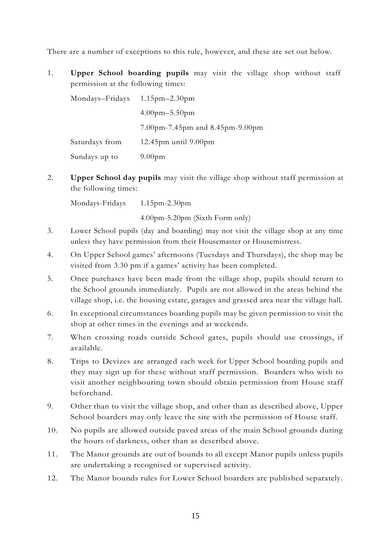There are a number of exceptions to this rule, however, and these are set out below.

1. **Upper School boarding pupils** may visit the village shop without staff permission at the following times:

| Mondays-Fridays | $1.15$ pm $-2.30$ pm            |  |  |
|-----------------|---------------------------------|--|--|
|                 | $4.00$ pm $-5.50$ pm            |  |  |
|                 | 7.00pm-7.45pm and 8.45pm-9.00pm |  |  |
| Saturdays from  | 12.45 $pm$ until 9.00 $pm$      |  |  |
| Sundays up to   | 9.00 <sub>pm</sub>              |  |  |

2. **Upper School day pupils** may visit the village shop without staff permission at the following times:

Mondays-Fridays 1.15pm-2.30pm

4.00pm-5.20pm (Sixth Form only)

- 3. Lower School pupils (day and boarding) may not visit the village shop at any time unless they have permission from their Housemaster or Housemistress.
- 4. On Upper School games' afternoons (Tuesdays and Thursdays), the shop may be visited from 3.30 pm if a games' activity has been completed.
- 5. Once purchases have been made from the village shop, pupils should return to the School grounds immediately. Pupils are not allowed in the areas behind the village shop, i.e. the housing estate, garages and grassed area near the village hall.
- 6. In exceptional circumstances boarding pupils may be given permission to visit the shop at other times in the evenings and at weekends.
- 7. When crossing roads outside School gates, pupils should use crossings, if available.
- 8. Trips to Devizes are arranged each week for Upper School boarding pupils and they may sign up for these without staff permission. Boarders who wish to visit another neighbouring town should obtain permission from House staff beforehand.
- 9. Other than to visit the village shop, and other than as described above, Upper School boarders may only leave the site with the permission of House staff.
- 10. No pupils are allowed outside paved areas of the main School grounds during the hours of darkness, other than as described above.
- 11. The Manor grounds are out of bounds to all except Manor pupils unless pupils are undertaking a recognised or supervised activity.
- 12. The Manor bounds rules for Lower School boarders are published separately.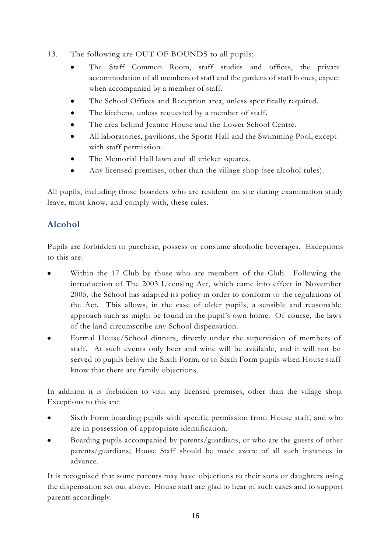- 13. The following are OUT OF BOUNDS to all pupils:
	- The Staff Common Room, staff studies and offices, the private accommodation of all members of staff and the gardens of staff homes, expect when accompanied by a member of staff.
	- The School Offices and Reception area, unless specifically required.
	- The kitchens, unless requested by a member of staff.
	- The area behind Jeanne House and the Lower School Centre.
	- All laboratories, pavilions, the Sports Hall and the Swimming Pool, except with staff permission.
	- The Memorial Hall lawn and all cricket squares.
	- Any licensed premises, other than the village shop (see alcohol rules).

All pupils, including those boarders who are resident on site during examination study leave, must know, and comply with, these rules.

## **Alcohol**

Pupils are forbidden to purchase, possess or consume alcoholic beverages. Exceptions to this are:

- Within the 17 Club by those who are members of the Club. Following the introduction of The 2003 Licensing Act, which came into effect in November 2005, the School has adapted its policy in order to conform to the regulations of the Act. This allows, in the case of older pupils, a sensible and reasonable approach such as might be found in the pupil's own home. Of course, the laws of the land circumscribe any School dispensation.
- Formal House/School dinners, directly under the supervision of members of staff. At such events only beer and wine will be available, and it will not be served to pupils below the Sixth Form, or to Sixth Form pupils when House staff know that there are family objections.

In addition it is forbidden to visit any licensed premises, other than the village shop. Exceptions to this are:

- Sixth Form boarding pupils with specific permission from House staff, and who are in possession of appropriate identification.
- Boarding pupils accompanied by parents/guardians, or who are the guests of other parents/guardians; House Staff should be made aware of all such instances in advance.

It is recognised that some parents may have objections to their sons or daughters using the dispensation set out above. House staff are glad to hear of such cases and to support parents accordingly.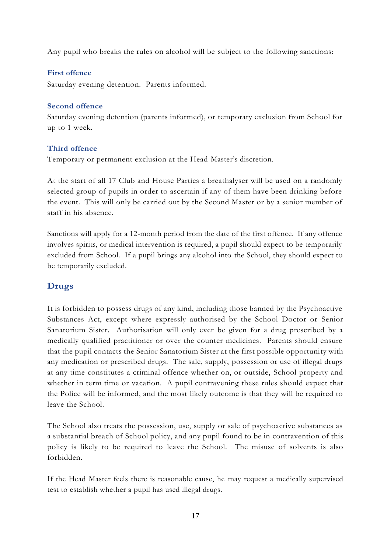Any pupil who breaks the rules on alcohol will be subject to the following sanctions:

#### **First offence**

Saturday evening detention. Parents informed.

#### **Second offence**

Saturday evening detention (parents informed), or temporary exclusion from School for up to 1 week.

#### **Third offence**

Temporary or permanent exclusion at the Head Master's discretion.

At the start of all 17 Club and House Parties a breathalyser will be used on a randomly selected group of pupils in order to ascertain if any of them have been drinking before the event. This will only be carried out by the Second Master or by a senior member of staff in his absence.

Sanctions will apply for a 12-month period from the date of the first offence. If any offence involves spirits, or medical intervention is required, a pupil should expect to be temporarily excluded from School. If a pupil brings any alcohol into the School, they should expect to be temporarily excluded.

## **Drugs**

It is forbidden to possess drugs of any kind, including those banned by the Psychoactive Substances Act, except where expressly authorised by the School Doctor or Senior Sanatorium Sister. Authorisation will only ever be given for a drug prescribed by a medically qualified practitioner or over the counter medicines. Parents should ensure that the pupil contacts the Senior Sanatorium Sister at the first possible opportunity with any medication or prescribed drugs. The sale, supply, possession or use of illegal drugs at any time constitutes a criminal offence whether on, or outside, School property and whether in term time or vacation. A pupil contravening these rules should expect that the Police will be informed, and the most likely outcome is that they will be required to leave the School.

The School also treats the possession, use, supply or sale of psychoactive substances as a substantial breach of School policy, and any pupil found to be in contravention of this policy is likely to be required to leave the School. The misuse of solvents is also forbidden.

If the Head Master feels there is reasonable cause, he may request a medically supervised test to establish whether a pupil has used illegal drugs.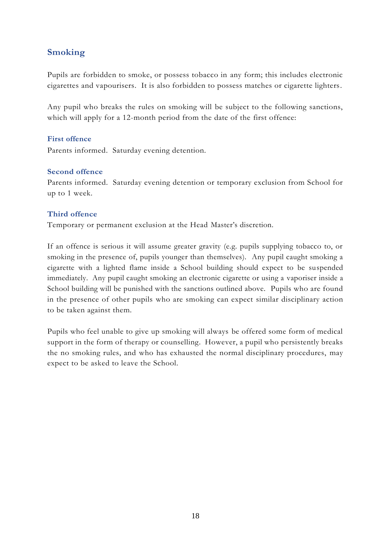## **Smoking**

Pupils are forbidden to smoke, or possess tobacco in any form; this includes electronic cigarettes and vapourisers. It is also forbidden to possess matches or cigarette lighters.

Any pupil who breaks the rules on smoking will be subject to the following sanctions, which will apply for a 12-month period from the date of the first offence:

#### **First offence**

Parents informed. Saturday evening detention.

#### **Second offence**

Parents informed. Saturday evening detention or temporary exclusion from School for up to 1 week.

#### **Third offence**

Temporary or permanent exclusion at the Head Master's discretion.

If an offence is serious it will assume greater gravity (e.g. pupils supplying tobacco to, or smoking in the presence of, pupils younger than themselves). Any pupil caught smoking a cigarette with a lighted flame inside a School building should expect to be suspended immediately. Any pupil caught smoking an electronic cigarette or using a vaporiser inside a School building will be punished with the sanctions outlined above. Pupils who are found in the presence of other pupils who are smoking can expect similar disciplinary action to be taken against them.

Pupils who feel unable to give up smoking will always be offered some form of medical support in the form of therapy or counselling. However, a pupil who persistently breaks the no smoking rules, and who has exhausted the normal disciplinary procedures, may expect to be asked to leave the School.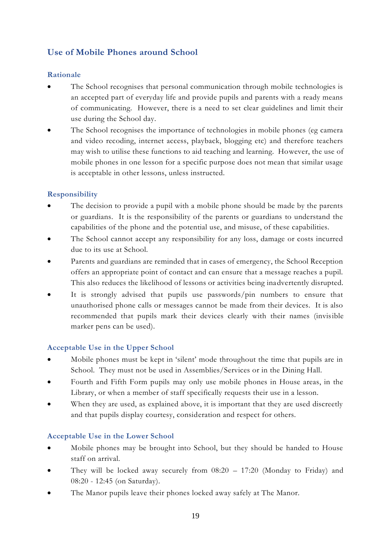## **Use of Mobile Phones around School**

#### **Rationale**

- The School recognises that personal communication through mobile technologies is an accepted part of everyday life and provide pupils and parents with a ready means of communicating. However, there is a need to set clear guidelines and limit their use during the School day.
- The School recognises the importance of technologies in mobile phones (eg camera and video recoding, internet access, playback, blogging etc) and therefore teachers may wish to utilise these functions to aid teaching and learning. However, the use of mobile phones in one lesson for a specific purpose does not mean that similar usage is acceptable in other lessons, unless instructed.

#### **Responsibility**

- The decision to provide a pupil with a mobile phone should be made by the parents or guardians. It is the responsibility of the parents or guardians to understand the capabilities of the phone and the potential use, and misuse, of these capabilities.
- The School cannot accept any responsibility for any loss, damage or costs incurred due to its use at School.
- Parents and guardians are reminded that in cases of emergency, the School Reception offers an appropriate point of contact and can ensure that a message reaches a pupil. This also reduces the likelihood of lessons or activities being inadvertently disrupted.
- It is strongly advised that pupils use passwords/pin numbers to ensure that unauthorised phone calls or messages cannot be made from their devices. It is also recommended that pupils mark their devices clearly with their names (invisible marker pens can be used).

#### **Acceptable Use in the Upper School**

- Mobile phones must be kept in 'silent' mode throughout the time that pupils are in School. They must not be used in Assemblies/Services or in the Dining Hall.
- Fourth and Fifth Form pupils may only use mobile phones in House areas, in the Library, or when a member of staff specifically requests their use in a lesson.
- When they are used, as explained above, it is important that they are used discreetly and that pupils display courtesy, consideration and respect for others.

#### **Acceptable Use in the Lower School**

- Mobile phones may be brought into School, but they should be handed to House staff on arrival.
- They will be locked away securely from  $08:20 17:20$  (Monday to Friday) and 08:20 - 12:45 (on Saturday).
- The Manor pupils leave their phones locked away safely at The Manor.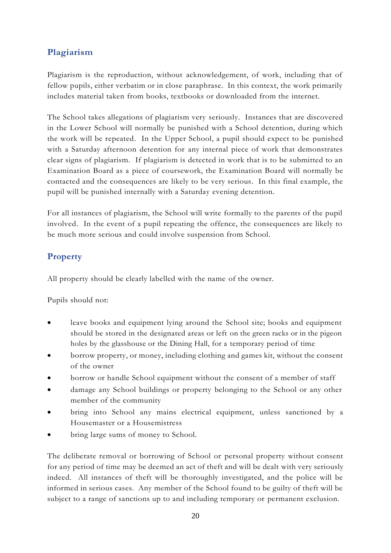## **Plagiarism**

Plagiarism is the reproduction, without acknowledgement, of work, including that of fellow pupils, either verbatim or in close paraphrase. In this context, the work primarily includes material taken from books, textbooks or downloaded from the internet.

The School takes allegations of plagiarism very seriously. Instances that are discovered in the Lower School will normally be punished with a School detention, during which the work will be repeated. In the Upper School, a pupil should expect to be punished with a Saturday afternoon detention for any internal piece of work that demonstrates clear signs of plagiarism. If plagiarism is detected in work that is to be submitted to an Examination Board as a piece of coursework, the Examination Board will normally be contacted and the consequences are likely to be very serious. In this final example, the pupil will be punished internally with a Saturday evening detention.

For all instances of plagiarism, the School will write formally to the parents of the pupil involved. In the event of a pupil repeating the offence, the consequences are likely to be much more serious and could involve suspension from School.

## **Property**

All property should be clearly labelled with the name of the owner.

Pupils should not:

- leave books and equipment lying around the School site; books and equipment should be stored in the designated areas or left on the green racks or in the pigeon holes by the glasshouse or the Dining Hall, for a temporary period of time
- borrow property, or money, including clothing and games kit, without the consent of the owner
- borrow or handle School equipment without the consent of a member of staff
- damage any School buildings or property belonging to the School or any other member of the community
- bring into School any mains electrical equipment, unless sanctioned by a Housemaster or a Housemistress
- bring large sums of money to School.

The deliberate removal or borrowing of School or personal property without consent for any period of time may be deemed an act of theft and will be dealt with very seriously indeed. All instances of theft will be thoroughly investigated, and the police will be informed in serious cases. Any member of the School found to be guilty of theft will be subject to a range of sanctions up to and including temporary or permanent exclusion.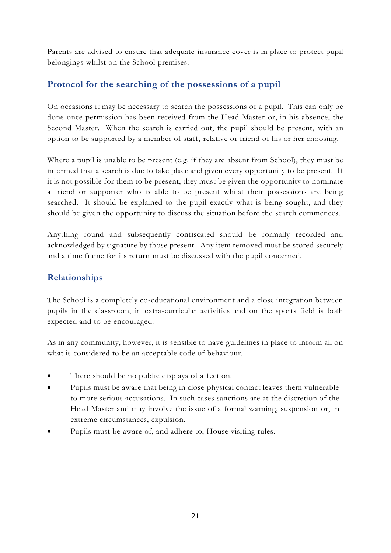Parents are advised to ensure that adequate insurance cover is in place to protect pupil belongings whilst on the School premises.

## **Protocol for the searching of the possessions of a pupil**

On occasions it may be necessary to search the possessions of a pupil. This can only be done once permission has been received from the Head Master or, in his absence, the Second Master. When the search is carried out, the pupil should be present, with an option to be supported by a member of staff, relative or friend of his or her choosing.

Where a pupil is unable to be present (e.g. if they are absent from School), they must be informed that a search is due to take place and given every opportunity to be present. If it is not possible for them to be present, they must be given the opportunity to nominate a friend or supporter who is able to be present whilst their possessions are being searched. It should be explained to the pupil exactly what is being sought, and they should be given the opportunity to discuss the situation before the search commences.

Anything found and subsequently confiscated should be formally recorded and acknowledged by signature by those present. Any item removed must be stored securely and a time frame for its return must be discussed with the pupil concerned.

## **Relationships**

The School is a completely co-educational environment and a close integration between pupils in the classroom, in extra-curricular activities and on the sports field is both expected and to be encouraged.

As in any community, however, it is sensible to have guidelines in place to inform all on what is considered to be an acceptable code of behaviour.

- There should be no public displays of affection.
- Pupils must be aware that being in close physical contact leaves them vulnerable to more serious accusations. In such cases sanctions are at the discretion of the Head Master and may involve the issue of a formal warning, suspension or, in extreme circumstances, expulsion.
- Pupils must be aware of, and adhere to, House visiting rules.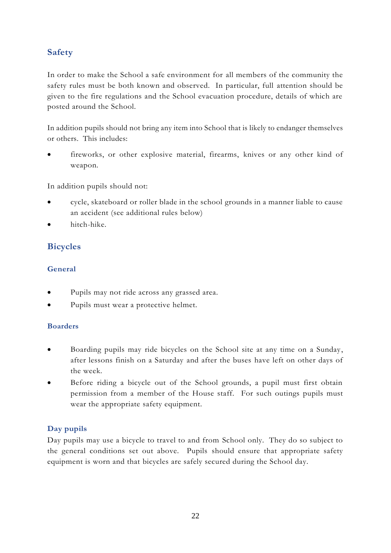## **Safety**

In order to make the School a safe environment for all members of the community the safety rules must be both known and observed. In particular, full attention should be given to the fire regulations and the School evacuation procedure, details of which are posted around the School.

In addition pupils should not bring any item into School that is likely to endanger themselves or others. This includes:

fireworks, or other explosive material, firearms, knives or any other kind of weapon.

In addition pupils should not:

- cycle, skateboard or roller blade in the school grounds in a manner liable to cause an accident (see additional rules below)
- hitch-hike.

## **Bicycles**

## **General**

- Pupils may not ride across any grassed area.
- Pupils must wear a protective helmet.

#### **Boarders**

- Boarding pupils may ride bicycles on the School site at any time on a Sunday, after lessons finish on a Saturday and after the buses have left on other days of the week.
- Before riding a bicycle out of the School grounds, a pupil must first obtain permission from a member of the House staff. For such outings pupils must wear the appropriate safety equipment.

## **Day pupils**

Day pupils may use a bicycle to travel to and from School only. They do so subject to the general conditions set out above. Pupils should ensure that appropriate safety equipment is worn and that bicycles are safely secured during the School day.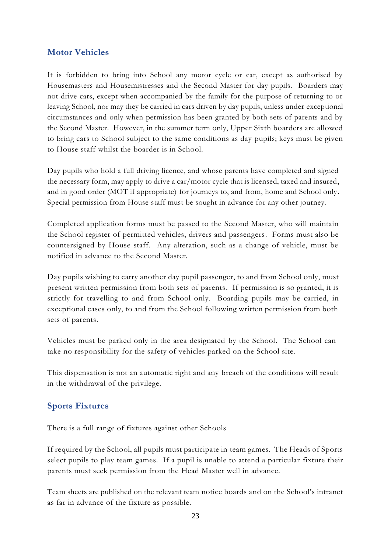## **Motor Vehicles**

It is forbidden to bring into School any motor cycle or car, except as authorised by Housemasters and Housemistresses and the Second Master for day pupils. Boarders may not drive cars, except when accompanied by the family for the purpose of returning to or leaving School, nor may they be carried in cars driven by day pupils, unless under exceptional circumstances and only when permission has been granted by both sets of parents and by the Second Master. However, in the summer term only, Upper Sixth boarders are allowed to bring cars to School subject to the same conditions as day pupils; keys must be given to House staff whilst the boarder is in School.

Day pupils who hold a full driving licence, and whose parents have completed and signed the necessary form, may apply to drive a car/motor cycle that is licensed, taxed and insured, and in good order (MOT if appropriate) for journeys to, and from, home and School only. Special permission from House staff must be sought in advance for any other journey.

Completed application forms must be passed to the Second Master, who will maintain the School register of permitted vehicles, drivers and passengers. Forms must also be countersigned by House staff. Any alteration, such as a change of vehicle, must be notified in advance to the Second Master.

Day pupils wishing to carry another day pupil passenger, to and from School only, must present written permission from both sets of parents. If permission is so granted, it is strictly for travelling to and from School only. Boarding pupils may be carried, in exceptional cases only, to and from the School following written permission from both sets of parents.

Vehicles must be parked only in the area designated by the School. The School can take no responsibility for the safety of vehicles parked on the School site.

This dispensation is not an automatic right and any breach of the conditions will result in the withdrawal of the privilege.

## **Sports Fixtures**

There is a full range of fixtures against other Schools

If required by the School, all pupils must participate in team games. The Heads of Sports select pupils to play team games. If a pupil is unable to attend a particular fixture their parents must seek permission from the Head Master well in advance.

Team sheets are published on the relevant team notice boards and on the School's intranet as far in advance of the fixture as possible.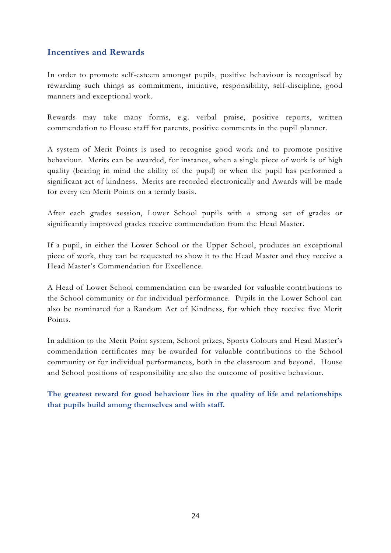## **Incentives and Rewards**

In order to promote self-esteem amongst pupils, positive behaviour is recognised by rewarding such things as commitment, initiative, responsibility, self-discipline, good manners and exceptional work.

Rewards may take many forms, e.g. verbal praise, positive reports, written commendation to House staff for parents, positive comments in the pupil planner.

A system of Merit Points is used to recognise good work and to promote positive behaviour. Merits can be awarded, for instance, when a single piece of work is of high quality (bearing in mind the ability of the pupil) or when the pupil has performed a significant act of kindness. Merits are recorded electronically and Awards will be made for every ten Merit Points on a termly basis.

After each grades session, Lower School pupils with a strong set of grades or significantly improved grades receive commendation from the Head Master.

If a pupil, in either the Lower School or the Upper School, produces an exceptional piece of work, they can be requested to show it to the Head Master and they receive a Head Master's Commendation for Excellence.

A Head of Lower School commendation can be awarded for valuable contributions to the School community or for individual performance. Pupils in the Lower School can also be nominated for a Random Act of Kindness, for which they receive five Merit Points.

In addition to the Merit Point system, School prizes, Sports Colours and Head Master's commendation certificates may be awarded for valuable contributions to the School community or for individual performances, both in the classroom and beyond. House and School positions of responsibility are also the outcome of positive behaviour.

**The greatest reward for good behaviour lies in the quality of life and relationships that pupils build among themselves and with staff.**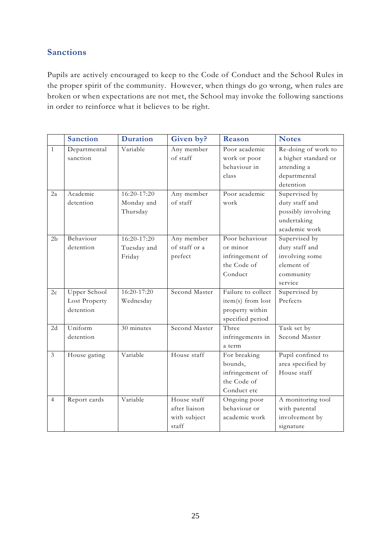## **Sanctions**

Pupils are actively encouraged to keep to the Code of Conduct and the School Rules in the proper spirit of the community. However, when things do go wrong, when rules are broken or when expectations are not met, the School may invoke the following sanctions in order to reinforce what it believes to be right.

|                | <b>Sanction</b>                            | <b>Duration</b>                       | Given by?                                             | Reason                                                                         | <b>Notes</b>                                                                            |
|----------------|--------------------------------------------|---------------------------------------|-------------------------------------------------------|--------------------------------------------------------------------------------|-----------------------------------------------------------------------------------------|
| $\mathbf{1}$   | Departmental<br>sanction                   | Variable                              | Any member<br>of staff                                | Poor academic<br>work or poor<br>behaviour in<br>class                         | Re-doing of work to<br>a higher standard or<br>attending a<br>departmental<br>detention |
| 2a             | Academic<br>detention                      | 16:20-17:20<br>Monday and<br>Thursday | Any member<br>of staff                                | Poor academic<br>work                                                          | Supervised by<br>duty staff and<br>possibly involving<br>undertaking<br>academic work   |
| 2 <sub>b</sub> | Behaviour<br>detention                     | 16:20-17:20<br>Tuesday and<br>Friday  | Any member<br>of staff or a<br>prefect                | Poor behaviour<br>or minor<br>infringement of<br>the Code of<br>Conduct        | Supervised by<br>duty staff and<br>involving some<br>element of<br>community<br>service |
| 2c             | Upper School<br>Lost Property<br>detention | 16:20-17:20<br>Wednesday              | Second Master                                         | Failure to collect<br>item(s) from lost<br>property within<br>specified period | Supervised by<br>Prefects                                                               |
| 2d             | Uniform<br>detention                       | 30 minutes                            | Second Master                                         | Three<br>infringements in<br>a term                                            | Task set by<br>Second Master                                                            |
| $\overline{3}$ | House gating                               | Variable                              | House staff                                           | For breaking<br>bounds,<br>infringement of<br>the Code of<br>Conduct etc       | Pupil confined to<br>area specified by<br>House staff                                   |
| $\overline{4}$ | Report cards                               | Variable                              | House staff<br>after liaison<br>with subject<br>staff | Ongoing poor<br>behaviour or<br>academic work                                  | A monitoring tool<br>with parental<br>involvement by<br>signature                       |